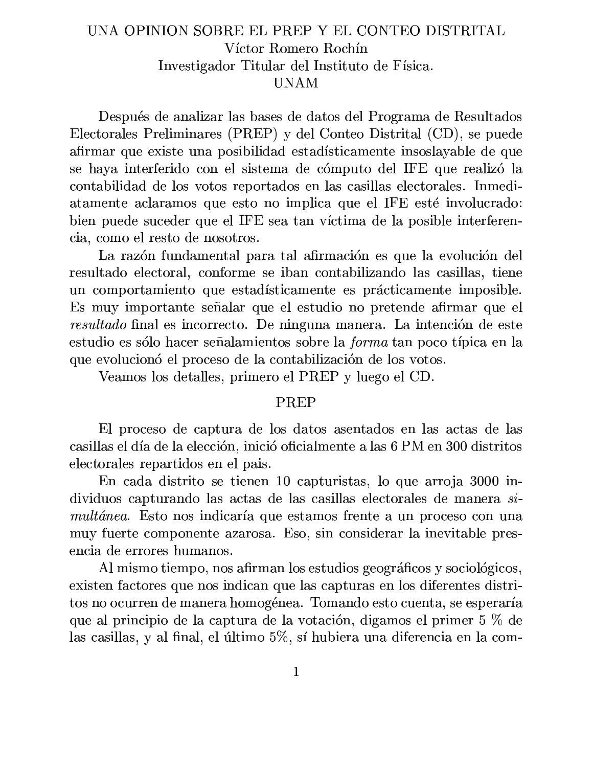## UNA OPINION SOBRE EL PREP Y EL CONTEO DISTRITAL Víctor Romero Rochín Investigador Titular del Instituto de Física. **UNAM**

Después de analizar las bases de datos del Programa de Resultados Electorales Preliminares (PREP) y del Conteo Distrital (CD), se puede afirmar que existe una posibilidad estadísticamente insoslayable de que se haya interferido con el sistema de cómputo del IFE que realizó la contabilidad de los votos reportados en las casillas electorales. Inmediatamente aclaramos que esto no implica que el IFE esté involucrado: bien puede suceder que el IFE sea tan víctima de la posible interferencia, como el resto de nosotros.

La razón fundamental para tal afirmación es que la evolución del resultado electoral, conforme se iban contabilizando las casillas, tiene un comportamiento que estadísticamente es prácticamente imposible. Es muy importante señalar que el estudio no pretende afirmar que el resultado final es incorrecto. De ninguna manera. La intención de este estudio es sólo hacer señalamientos sobre la *forma* tan poco típica en la que evolucionó el proceso de la contabilización de los votos.

Veamos los detalles, primero el PREP y luego el CD.

## **PREP**

El proceso de captura de los datos asentados en las actas de las casillas el día de la elección, inició oficialmente a las 6 PM en 300 distritos electorales repartidos en el país.

En cada distrito se tienen 10 capturistas, lo que arroja 3000 individuos capturando las actas de las casillas electorales de manera si*multánea.* Esto nos indicaría que estamos frente a un proceso con una muy fuerte componente azarosa. Eso, sin considerar la inevitable presencia de errores humanos.

Al mismo tiempo, nos afirman los estudios geográficos y sociológicos, existen factores que nos indican que las capturas en los diferentes distritos no ocurren de manera homogénea. Tomando esto cuenta, se esperaría que al principio de la captura de la votación, digamos el primer 5 % de las casillas, y al final, el último 5%, sí hubiera una diferencia en la com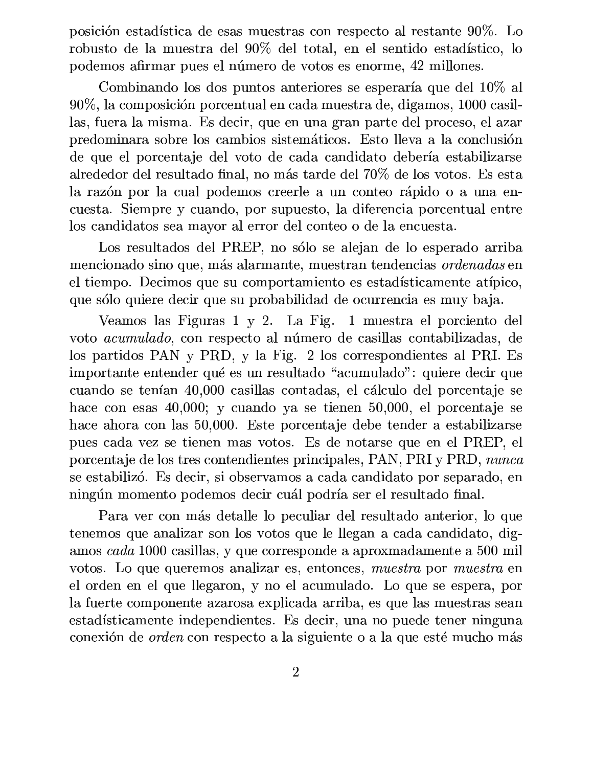posición estadística de esas muestras con respecto al restante 90%. Lo robusto de la muestra del 90% del total, en el sentido estadístico, lo podemos afirmar pues el número de votos es enorme, 42 millones.

Combinando los dos puntos anteriores se esperaría que del 10% al 90%, la composición porcentual en cada muestra de, digamos, 1000 casillas, fuera la misma. Es decir, que en una gran parte del proceso, el azar predominara sobre los cambios sistemáticos. Esto lleva a la conclusión de que el porcentaje del voto de cada candidato debería estabilizarse alrededor del resultado final, no más tarde del 70% de los votos. Es esta la razón por la cual podemos creerle a un conteo rápido o a una encuesta. Siempre y cuando, por supuesto, la diferencia porcentual entre los candidatos sea mayor al error del conteo o de la encuesta.

Los resultados del PREP, no sólo se alejan de lo esperado arriba mencionado sino que, más alarmante, muestran tendencias ordenadas en el tiempo. Decimos que su comportamiento es estadísticamente atípico, que sólo quiere decir que su probabilidad de ocurrencia es muy baja.

Veamos las Figuras 1 y 2. La Fig. 1 muestra el porciento del voto *acumulado*, con respecto al número de casillas contabilizadas, de los partidos PAN y PRD, y la Fig. 2 los correspondientes al PRI. Es importante entender qué es un resultado "acumulado": quiere decir que cuando se tenían 40,000 casillas contadas, el cálculo del porcentaje se hace con esas  $40,000$ ; y cuando ya se tienen  $50,000$ , el porcentaje se hace ahora con las 50,000. Este porcentaje debe tender a estabilizarse pues cada vez se tienen mas votos. Es de notarse que en el PREP, el porcentaje de los tres contendientes principales, PAN, PRI y PRD, nunca se estabilizó. Es decir, si observamos a cada candidato por separado, en ningún momento podemos decir cuál podría ser el resultado final.

Para ver con más detalle lo peculiar del resultado anterior, lo que tenemos que analizar son los votos que le llegan a cada candidato, digamos cada 1000 casillas, y que corresponde a aproximadamente a 500 mil votos. Lo que queremos analizar es, entonces, muestra por muestra en el orden en el que llegaron, y no el acumulado. Lo que se espera, por la fuerte componente azarosa explicada arriba, es que las muestras sean estadísticamente independientes. Es decir, una no puede tener ninguna conexión de *orden* con respecto a la siguiente o a la que esté mucho más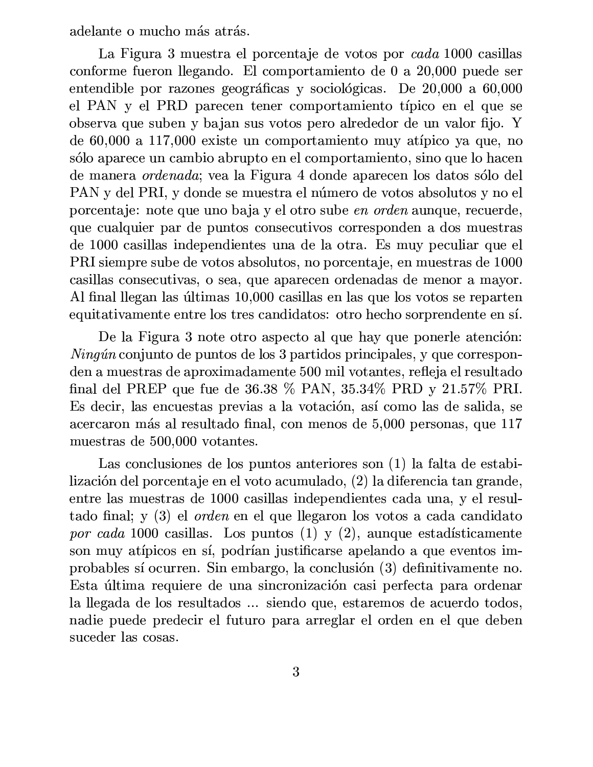adelante o mucho más atrás.

La Figura 3 muestra el porcentaje de votos por *cada* 1000 casillas conforme fueron llegando. El comportamiento de 0 a 20,000 puede ser entendible por razones geográficas y sociológicas. De 20,000 a 60,000 el PAN y el PRD parecen tener comportamiento típico en el que se observa que suben y bajan sus votos pero alrededor de un valor fijo. Y de 60,000 a 117,000 existe un comportamiento muy atípico ya que, no sólo aparece un cambio abrupto en el comportamiento, sino que lo hacen de manera *ordenada*; vea la Figura 4 donde aparecen los datos sólo del PAN y del PRI, y donde se muestra el número de votos absolutos y no el porcentaje: note que uno baja y el otro sube en orden aunque, recuerde, que cualquier par de puntos consecutivos corresponden a dos muestras de 1000 casillas independientes una de la otra. Es muy peculiar que el PRI siempre sube de votos absolutos, no porcentaje, en muestras de 1000 casillas consecutivas, o sea, que aparecen ordenadas de menor a mayor. Al final llegan las últimas 10,000 casillas en las que los votos se reparten equitativamente entre los tres candidatos: otro hecho sorprendente en sí.

De la Figura 3 note otro aspecto al que hay que ponerle atención:  $Ning\omega$  conjunto de puntos de los 3 partidos principales, y que corresponden a muestras de aproximadamente 500 mil votantes, refleja el resultado final del PREP que fue de 36.38 % PAN, 35.34% PRD y 21.57% PRI. Es decir, las encuestas previas a la votación, así como las de salida, se acercaron más al resultado final, con menos de 5,000 personas, que 117 muestras de 500,000 votantes.

Las conclusiones de los puntos anteriores son (1) la falta de estabilización del porcentaje en el voto acumulado, (2) la diferencia tan grande, entre las muestras de 1000 casillas independientes cada una, y el resultado final; y (3) el *orden* en el que llegaron los votos a cada candidato por cada 1000 casillas. Los puntos  $(1)$  y  $(2)$ , aunque estadísticamente son muy atípicos en sí, podrían justificarse apelando a que eventos improbables sí ocurren. Sin embargo, la conclusión (3) definitivamente no. Esta última requiere de una sincronización casi perfecta para ordenar la llegada de los resultados ... siendo que, estaremos de acuerdo todos, nadie puede predecir el futuro para arreglar el orden en el que deben suceder las cosas.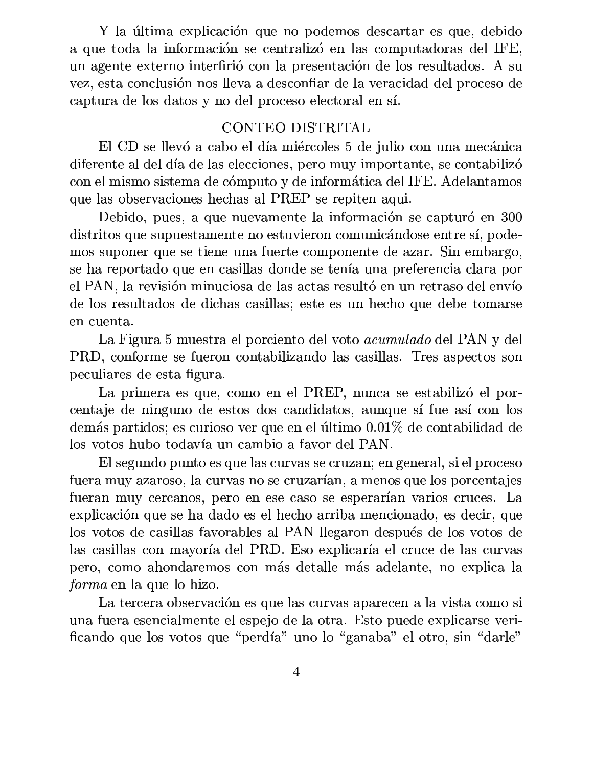Y la última explicación que no podemos descartar es que, debido a que toda la información se centralizó en las computadoras del IFE, un agente externo interfirió con la presentación de los resultados. A su vez, esta conclusión nos lleva a desconfiar de la veracidad del proceso de captura de los datos y no del proceso electoral en sí.

## CONTEO DISTRITAL

El CD se llevó a cabo el día miércoles 5 de julio con una mecánica diferente al del día de las elecciones, pero muy importante, se contabilizó con el mismo sistema de cómputo y de informática del IFE. Adelantamos que las observaciones hechas al PREP se repiten aqui.

Debido, pues, a que nuevamente la información se capturó en 300 distritos que supuestamente no estuvieron comunicándose entre sí, podemos suponer que se tiene una fuerte componente de azar. Sin embargo, se ha reportado que en casillas donde se tenía una preferencia clara por el PAN, la revisión minuciosa de las actas resultó en un retraso del envío de los resultados de dichas casillas; este es un hecho que debe tomarse en cuenta.

La Figura 5 muestra el porciento del voto *acumulado* del PAN y del PRD, conforme se fueron contabilizando las casillas. Tres aspectos son peculiares de esta figura.

La primera es que, como en el PREP, nunca se estabilizó el porcentaje de ninguno de estos dos candidatos, aunque sí fue así con los demás partidos; es curioso ver que en el último 0.01% de contabilidad de los votos hubo todavía un cambio a favor del PAN.

El segundo punto es que las curvas se cruzan; en general, si el proceso fuera muy azaroso, la curvas no se cruzarían, a menos que los porcentajes fueran muy cercanos, pero en ese caso se esperarían varios cruces. La explicación que se ha dado es el hecho arriba mencionado, es decir, que los votos de casillas favorables al PAN llegaron después de los votos de las casillas con mayoría del PRD. Eso explicaría el cruce de las curvas pero, como ahondaremos con más detalle más adelante, no explica la *forma* en la que lo hizo.

La tercera observación es que las curvas aparecen a la vista como si una fuera esencialmente el espejo de la otra. Esto puede explicarse verificando que los votos que "perdía" uno lo "ganaba" el otro, sin "darle"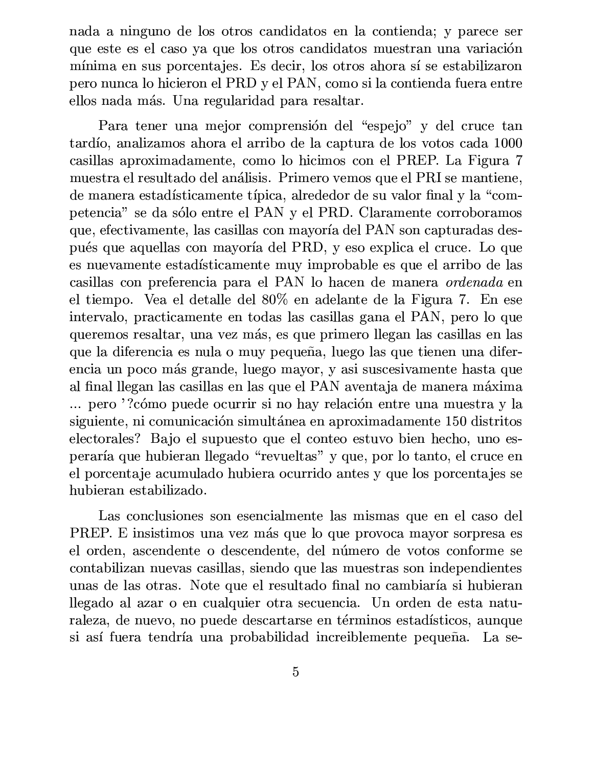nada a ninguno de los otros candidatos en la contienda; y parece ser que este es el caso ya que los otros candidatos muestran una variación mínima en sus porcentajes. Es decir, los otros ahora sí se estabilizaron pero nunca lo hicieron el PRD y el PAN, como si la contienda fuera entre ellos nada más. Una regularidad para resaltar.

Para tener una mejor comprensión del "espejo" y del cruce tan tardío, analizamos ahora el arribo de la captura de los votos cada 1000 casillas aproximadamente, como lo hicimos con el PREP. La Figura 7 muestra el resultado del análisis. Primero vemos que el PRI se mantiene, de manera estadísticamente típica, alrededor de su valor final y la "competencia" se da sólo entre el PAN y el PRD. Claramente corroboramos que, efectivamente, las casillas con mayoría del PAN son capturadas después que aquellas con mayoría del PRD, y eso explica el cruce. Lo que es nuevamente estadísticamente muy improbable es que el arribo de las casillas con preferencia para el PAN lo hacen de manera *ordenada* en el tiempo. Vea el detalle del 80% en adelante de la Figura 7. En ese intervalo, practicamente en todas las casillas gana el PAN, pero lo que queremos resaltar, una vez más, es que primero llegan las casillas en las que la diferencia es nula o muy pequeña, luego las que tienen una diferencia un poco más grande, luego mayor, y asi suscesivamente hasta que al final llegan las casillas en las que el PAN aventaja de manera máxima ... pero '?cómo puede ocurrir si no hay relación entre una muestra y la siguiente, ni comunicación simultánea en aproximadamente 150 distritos electorales? Bajo el supuesto que el conteo estuvo bien hecho, uno esperaría que hubieran llegado "revueltas" y que, por lo tanto, el cruce en el porcentaje acumulado hubiera ocurrido antes y que los porcentajes se hubieran estabilizado.

Las conclusiones son esencialmente las mismas que en el caso del PREP. E insistimos una vez más que lo que provoca mayor sorpresa es el orden, ascendente o descendente, del número de votos conforme se contabilizan nuevas casillas, siendo que las muestras son independientes unas de las otras. Note que el resultado final no cambiaría si hubieran llegado al azar o en cualquier otra secuencia. Un orden de esta naturaleza, de nuevo, no puede descartarse en términos estadísticos, aunque si así fuera tendría una probabilidad increiblemente pequeña. La se